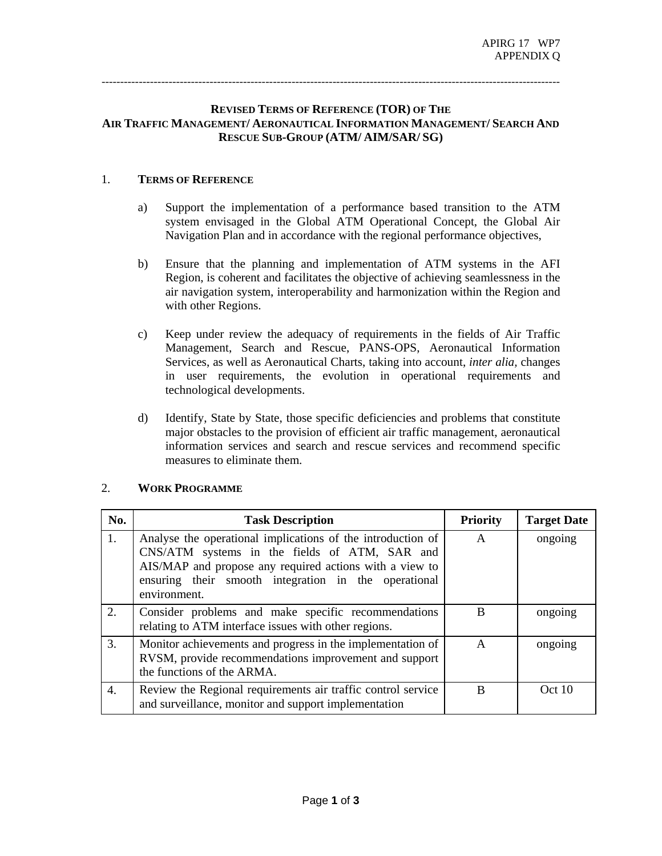---------------------------------------------------------------------------------------------------------------------------

## **REVISED TERMS OF REFERENCE (TOR) OF THE AIR TRAFFIC MANAGEMENT/ AERONAUTICAL INFORMATION MANAGEMENT/ SEARCH AND RESCUE SUB-GROUP (ATM/ AIM/SAR/ SG)**

## 1. **TERMS OF REFERENCE**

- a) Support the implementation of a performance based transition to the ATM system envisaged in the Global ATM Operational Concept, the Global Air Navigation Plan and in accordance with the regional performance objectives,
- b) Ensure that the planning and implementation of ATM systems in the AFI Region, is coherent and facilitates the objective of achieving seamlessness in the air navigation system, interoperability and harmonization within the Region and with other Regions.
- c) Keep under review the adequacy of requirements in the fields of Air Traffic Management, Search and Rescue, PANS-OPS, Aeronautical Information Services, as well as Aeronautical Charts, taking into account, *inter alia,* changes in user requirements, the evolution in operational requirements and technological developments.
- d) Identify, State by State, those specific deficiencies and problems that constitute major obstacles to the provision of efficient air traffic management, aeronautical information services and search and rescue services and recommend specific measures to eliminate them.

| No. | <b>Task Description</b>                                                                                                                                                                                                                         | <b>Priority</b> | <b>Target Date</b> |
|-----|-------------------------------------------------------------------------------------------------------------------------------------------------------------------------------------------------------------------------------------------------|-----------------|--------------------|
| 1.  | Analyse the operational implications of the introduction of<br>CNS/ATM systems in the fields of ATM, SAR and<br>AIS/MAP and propose any required actions with a view to<br>ensuring their smooth integration in the operational<br>environment. | $\mathsf{A}$    | ongoing            |
| 2.  | Consider problems and make specific recommendations<br>relating to ATM interface issues with other regions.                                                                                                                                     | B               | ongoing            |
| 3.  | Monitor achievements and progress in the implementation of<br>RVSM, provide recommendations improvement and support<br>the functions of the ARMA.                                                                                               | A               | ongoing            |
| 4.  | Review the Regional requirements air traffic control service<br>and surveillance, monitor and support implementation                                                                                                                            | B               | Oct 10             |

## 2. **WORK PROGRAMME**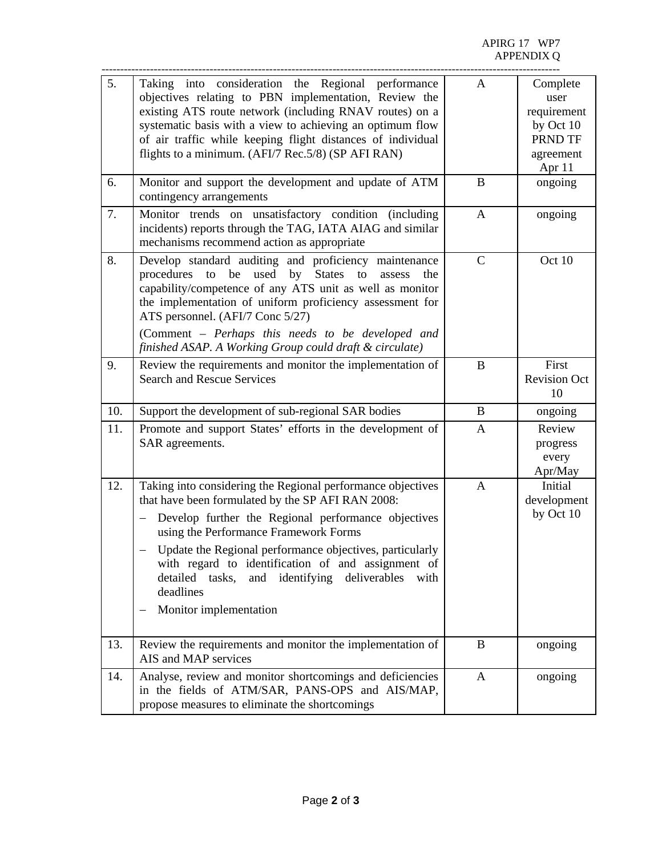| 5.<br>6. | Taking into consideration the Regional performance<br>objectives relating to PBN implementation, Review the<br>existing ATS route network (including RNAV routes) on a<br>systematic basis with a view to achieving an optimum flow<br>of air traffic while keeping flight distances of individual<br>flights to a minimum. (AFI/7 Rec.5/8) (SP AFI RAN)                                                                                                     | $\mathbf{A}$<br>$\bf{B}$ | Complete<br>user<br>requirement<br>by Oct 10<br>PRND TF<br>agreement<br>Apr 11 |
|----------|--------------------------------------------------------------------------------------------------------------------------------------------------------------------------------------------------------------------------------------------------------------------------------------------------------------------------------------------------------------------------------------------------------------------------------------------------------------|--------------------------|--------------------------------------------------------------------------------|
|          | Monitor and support the development and update of ATM<br>contingency arrangements                                                                                                                                                                                                                                                                                                                                                                            |                          | ongoing                                                                        |
| 7.       | Monitor trends on unsatisfactory condition (including<br>incidents) reports through the TAG, IATA AIAG and similar<br>mechanisms recommend action as appropriate                                                                                                                                                                                                                                                                                             | $\mathbf{A}$             | ongoing                                                                        |
| 8.       | Develop standard auditing and proficiency maintenance<br>procedures<br>to<br>be<br>used<br><b>States</b><br>by<br>to<br>assess<br>the<br>capability/competence of any ATS unit as well as monitor<br>the implementation of uniform proficiency assessment for<br>ATS personnel. (AFI/7 Conc 5/27)<br>(Comment – Perhaps this needs to be developed and<br>finished ASAP. A Working Group could draft & circulate)                                            | $\mathcal{C}$            | Oct 10                                                                         |
| 9.       | Review the requirements and monitor the implementation of<br><b>Search and Rescue Services</b>                                                                                                                                                                                                                                                                                                                                                               | $\bf{B}$                 | First<br><b>Revision Oct</b><br>10                                             |
| 10.      | Support the development of sub-regional SAR bodies                                                                                                                                                                                                                                                                                                                                                                                                           | B                        | ongoing                                                                        |
| 11.      | Promote and support States' efforts in the development of<br>SAR agreements.                                                                                                                                                                                                                                                                                                                                                                                 | $\mathbf{A}$             | Review<br>progress<br>every<br>Apr/May                                         |
| 12.      | Taking into considering the Regional performance objectives<br>that have been formulated by the SP AFI RAN 2008:<br>Develop further the Regional performance objectives<br>$\qquad \qquad -$<br>using the Performance Framework Forms<br>Update the Regional performance objectives, particularly<br>with regard to identification of and assignment of<br>and identifying<br>detailed tasks,<br>deliverables<br>with<br>deadlines<br>Monitor implementation | $\mathbf{A}$             | Initial<br>development<br>by Oct 10                                            |
| 13.      | Review the requirements and monitor the implementation of<br>AIS and MAP services                                                                                                                                                                                                                                                                                                                                                                            | B                        | ongoing                                                                        |
| 14.      | Analyse, review and monitor shortcomings and deficiencies<br>in the fields of ATM/SAR, PANS-OPS and AIS/MAP,<br>propose measures to eliminate the shortcomings                                                                                                                                                                                                                                                                                               | $\mathbf{A}$             | ongoing                                                                        |